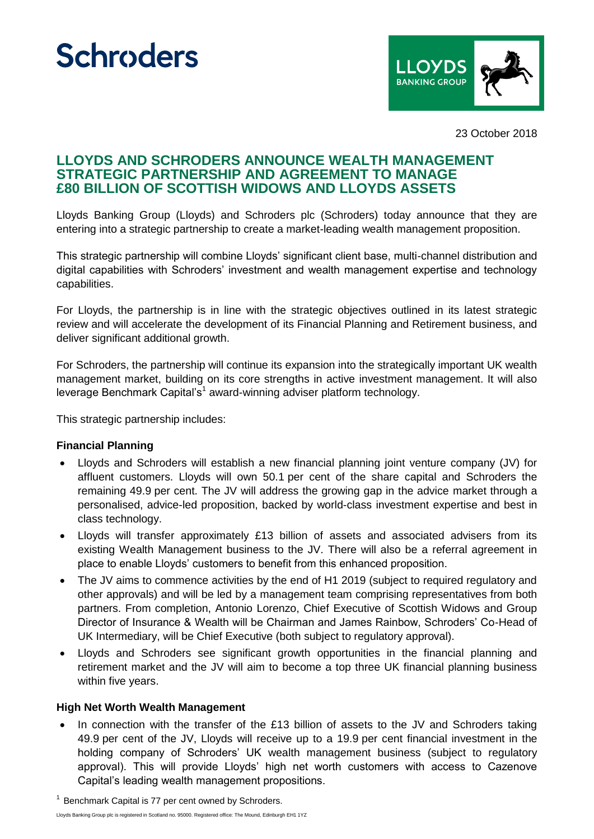# **Schroders**



23 October 2018

## **LLOYDS AND SCHRODERS ANNOUNCE WEALTH MANAGEMENT STRATEGIC PARTNERSHIP AND AGREEMENT TO MANAGE £80 BILLION OF SCOTTISH WIDOWS AND LLOYDS ASSETS**

Lloyds Banking Group (Lloyds) and Schroders plc (Schroders) today announce that they are entering into a strategic partnership to create a market-leading wealth management proposition.

This strategic partnership will combine Lloyds' significant client base, multi-channel distribution and digital capabilities with Schroders' investment and wealth management expertise and technology capabilities.

For Lloyds, the partnership is in line with the strategic objectives outlined in its latest strategic review and will accelerate the development of its Financial Planning and Retirement business, and deliver significant additional growth.

For Schroders, the partnership will continue its expansion into the strategically important UK wealth management market, building on its core strengths in active investment management. It will also leverage Benchmark Capital's<sup>1</sup> award-winning adviser platform technology.

This strategic partnership includes:

#### **Financial Planning**

- Lloyds and Schroders will establish a new financial planning joint venture company (JV) for affluent customers. Lloyds will own 50.1 per cent of the share capital and Schroders the remaining 49.9 per cent. The JV will address the growing gap in the advice market through a personalised, advice-led proposition, backed by world-class investment expertise and best in class technology.
- Lloyds will transfer approximately £13 billion of assets and associated advisers from its existing Wealth Management business to the JV. There will also be a referral agreement in place to enable Lloyds' customers to benefit from this enhanced proposition.
- The JV aims to commence activities by the end of H1 2019 (subject to required regulatory and other approvals) and will be led by a management team comprising representatives from both partners. From completion, Antonio Lorenzo, Chief Executive of Scottish Widows and Group Director of Insurance & Wealth will be Chairman and James Rainbow, Schroders' Co-Head of UK Intermediary, will be Chief Executive (both subject to regulatory approval).
- Lloyds and Schroders see significant growth opportunities in the financial planning and retirement market and the JV will aim to become a top three UK financial planning business within five years.

#### **High Net Worth Wealth Management**

In connection with the transfer of the £13 billion of assets to the JV and Schroders taking 49.9 per cent of the JV, Lloyds will receive up to a 19.9 per cent financial investment in the holding company of Schroders' UK wealth management business (subject to regulatory approval). This will provide Lloyds' high net worth customers with access to Cazenove Capital's leading wealth management propositions.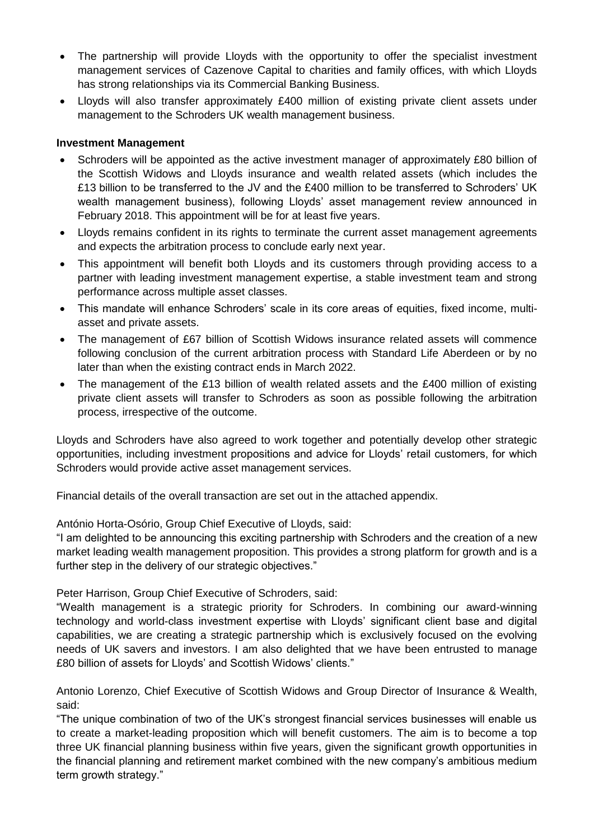- The partnership will provide Lloyds with the opportunity to offer the specialist investment management services of Cazenove Capital to charities and family offices, with which Lloyds has strong relationships via its Commercial Banking Business.
- Lloyds will also transfer approximately £400 million of existing private client assets under management to the Schroders UK wealth management business.

### **Investment Management**

- Schroders will be appointed as the active investment manager of approximately £80 billion of the Scottish Widows and Lloyds insurance and wealth related assets (which includes the £13 billion to be transferred to the JV and the £400 million to be transferred to Schroders' UK wealth management business), following Lloyds' asset management review announced in February 2018. This appointment will be for at least five years.
- Lloyds remains confident in its rights to terminate the current asset management agreements and expects the arbitration process to conclude early next year.
- This appointment will benefit both Lloyds and its customers through providing access to a partner with leading investment management expertise, a stable investment team and strong performance across multiple asset classes.
- This mandate will enhance Schroders' scale in its core areas of equities, fixed income, multiasset and private assets.
- The management of £67 billion of Scottish Widows insurance related assets will commence following conclusion of the current arbitration process with Standard Life Aberdeen or by no later than when the existing contract ends in March 2022.
- The management of the £13 billion of wealth related assets and the £400 million of existing private client assets will transfer to Schroders as soon as possible following the arbitration process, irrespective of the outcome.

Lloyds and Schroders have also agreed to work together and potentially develop other strategic opportunities, including investment propositions and advice for Lloyds' retail customers, for which Schroders would provide active asset management services.

Financial details of the overall transaction are set out in the attached appendix.

António Horta-Osório, Group Chief Executive of Lloyds, said:

"I am delighted to be announcing this exciting partnership with Schroders and the creation of a new market leading wealth management proposition. This provides a strong platform for growth and is a further step in the delivery of our strategic objectives."

Peter Harrison, Group Chief Executive of Schroders, said:

"Wealth management is a strategic priority for Schroders. In combining our award-winning technology and world-class investment expertise with Lloyds' significant client base and digital capabilities, we are creating a strategic partnership which is exclusively focused on the evolving needs of UK savers and investors. I am also delighted that we have been entrusted to manage £80 billion of assets for Lloyds' and Scottish Widows' clients."

Antonio Lorenzo, Chief Executive of Scottish Widows and Group Director of Insurance & Wealth, said:

"The unique combination of two of the UK's strongest financial services businesses will enable us to create a market-leading proposition which will benefit customers. The aim is to become a top three UK financial planning business within five years, given the significant growth opportunities in the financial planning and retirement market combined with the new company's ambitious medium term growth strategy."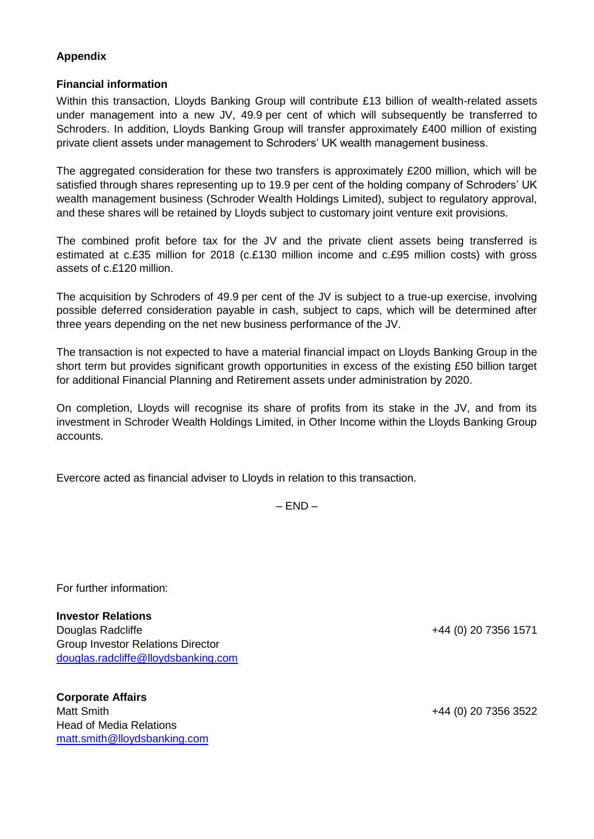### **Appendix**

### **Financial information**

Within this transaction, Lloyds Banking Group will contribute £13 billion of wealth-related assets under management into a new JV, 49.9 per cent of which will subsequently be transferred to Schroders. In addition, Lloyds Banking Group will transfer approximately £400 million of existing private client assets under management to Schroders' UK wealth management business.

The aggregated consideration for these two transfers is approximately £200 million, which will be satisfied through shares representing up to 19.9 per cent of the holding company of Schroders' UK wealth management business (Schroder Wealth Holdings Limited), subject to regulatory approval, and these shares will be retained by Lloyds subject to customary joint venture exit provisions.

The combined profit before tax for the JV and the private client assets being transferred is estimated at c.£35 million for 2018 (c.£130 million income and c.£95 million costs) with gross assets of c.£120 million.

The acquisition by Schroders of 49.9 per cent of the JV is subject to a true-up exercise, involving possible deferred consideration payable in cash, subject to caps, which will be determined after three years depending on the net new business performance of the JV.

The transaction is not expected to have a material financial impact on Lloyds Banking Group in the short term but provides significant growth opportunities in excess of the existing £50 billion target for additional Financial Planning and Retirement assets under administration by 2020.

On completion, Lloyds will recognise its share of profits from its stake in the JV, and from its investment in Schroder Wealth Holdings Limited, in Other Income within the Lloyds Banking Group accounts.

Evercore acted as financial adviser to Lloyds in relation to this transaction.

 $-$  END  $-$ 

For further information:

**Investor Relations** Douglas Radcliffe +44 (0) 20 7356 1571 Group Investor Relations Director [douglas.radcliffe@lloydsbanking.com](mailto:douglas.radcliffe@lloydsbanking.com)

**Corporate Affairs** Matt Smith  $+44$  (0) 20 7356 3522 Head of Media Relations [matt.smith@lloydsbanking.com](mailto:matt.smith@lloydsbanking.com)